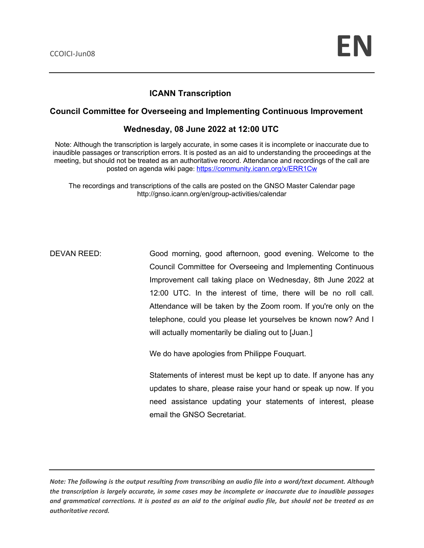#### **ICANN Transcription**

#### **Council Committee for Overseeing and Implementing Continuous Improvement**

#### **Wednesday, 08 June 2022 at 12:00 UTC**

Note: Although the transcription is largely accurate, in some cases it is incomplete or inaccurate due to inaudible passages or transcription errors. It is posted as an aid to understanding the proceedings at the meeting, but should not be treated as an authoritative record. Attendance and recordings of the call are posted on agenda wiki page: https://community.icann.org/x/ERR1Cw

The recordings and transcriptions of the calls are posted on the GNSO Master Calendar page http://gnso.icann.org/en/group-activities/calendar

DEVAN REED: Good morning, good afternoon, good evening. Welcome to the Council Committee for Overseeing and Implementing Continuous Improvement call taking place on Wednesday, 8th June 2022 at 12:00 UTC. In the interest of time, there will be no roll call. Attendance will be taken by the Zoom room. If you're only on the telephone, could you please let yourselves be known now? And I will actually momentarily be dialing out to [Juan.]

We do have apologies from Philippe Fouquart.

Statements of interest must be kept up to date. If anyone has any updates to share, please raise your hand or speak up now. If you need assistance updating your statements of interest, please email the GNSO Secretariat.

*Note: The following is the output resulting from transcribing an audio file into a word/text document. Although the transcription is largely accurate, in some cases may be incomplete or inaccurate due to inaudible passages and grammatical corrections. It is posted as an aid to the original audio file, but should not be treated as an authoritative record.*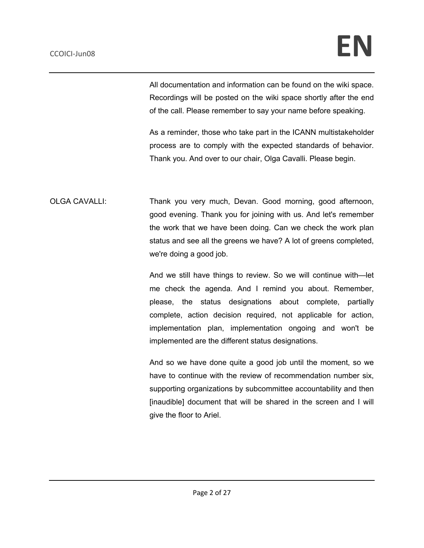All documentation and information can be found on the wiki space. Recordings will be posted on the wiki space shortly after the end of the call. Please remember to say your name before speaking.

As a reminder, those who take part in the ICANN multistakeholder process are to comply with the expected standards of behavior. Thank you. And over to our chair, Olga Cavalli. Please begin.

OLGA CAVALLI: Thank you very much, Devan. Good morning, good afternoon, good evening. Thank you for joining with us. And let's remember the work that we have been doing. Can we check the work plan status and see all the greens we have? A lot of greens completed, we're doing a good job.

> And we still have things to review. So we will continue with—let me check the agenda. And I remind you about. Remember, please, the status designations about complete, partially complete, action decision required, not applicable for action, implementation plan, implementation ongoing and won't be implemented are the different status designations.

> And so we have done quite a good job until the moment, so we have to continue with the review of recommendation number six, supporting organizations by subcommittee accountability and then [inaudible] document that will be shared in the screen and I will give the floor to Ariel.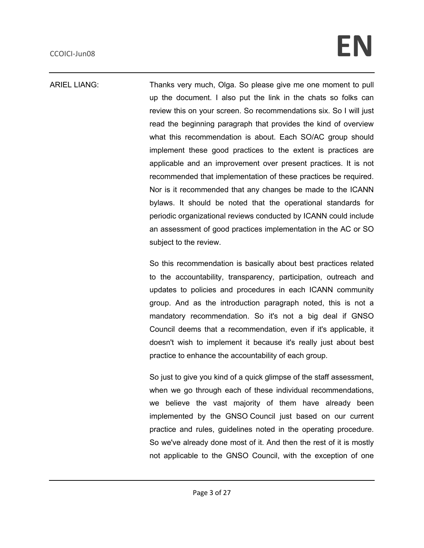ARIEL LIANG: Thanks very much, Olga. So please give me one moment to pull up the document. I also put the link in the chats so folks can review this on your screen. So recommendations six. So I will just read the beginning paragraph that provides the kind of overview what this recommendation is about. Each SO/AC group should implement these good practices to the extent is practices are applicable and an improvement over present practices. It is not recommended that implementation of these practices be required. Nor is it recommended that any changes be made to the ICANN bylaws. It should be noted that the operational standards for periodic organizational reviews conducted by ICANN could include an assessment of good practices implementation in the AC or SO subject to the review.

> So this recommendation is basically about best practices related to the accountability, transparency, participation, outreach and updates to policies and procedures in each ICANN community group. And as the introduction paragraph noted, this is not a mandatory recommendation. So it's not a big deal if GNSO Council deems that a recommendation, even if it's applicable, it doesn't wish to implement it because it's really just about best practice to enhance the accountability of each group.

> So just to give you kind of a quick glimpse of the staff assessment, when we go through each of these individual recommendations, we believe the vast majority of them have already been implemented by the GNSO Council just based on our current practice and rules, guidelines noted in the operating procedure. So we've already done most of it. And then the rest of it is mostly not applicable to the GNSO Council, with the exception of one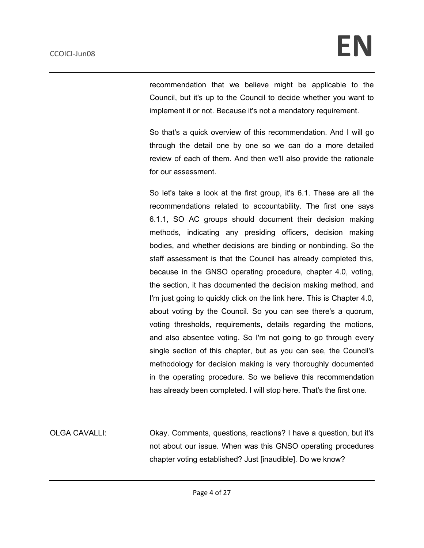recommendation that we believe might be applicable to the Council, but it's up to the Council to decide whether you want to implement it or not. Because it's not a mandatory requirement.

So that's a quick overview of this recommendation. And I will go through the detail one by one so we can do a more detailed review of each of them. And then we'll also provide the rationale for our assessment.

So let's take a look at the first group, it's 6.1. These are all the recommendations related to accountability. The first one says 6.1.1, SO AC groups should document their decision making methods, indicating any presiding officers, decision making bodies, and whether decisions are binding or nonbinding. So the staff assessment is that the Council has already completed this, because in the GNSO operating procedure, chapter 4.0, voting, the section, it has documented the decision making method, and I'm just going to quickly click on the link here. This is Chapter 4.0, about voting by the Council. So you can see there's a quorum, voting thresholds, requirements, details regarding the motions, and also absentee voting. So I'm not going to go through every single section of this chapter, but as you can see, the Council's methodology for decision making is very thoroughly documented in the operating procedure. So we believe this recommendation has already been completed. I will stop here. That's the first one.

OLGA CAVALLI: Okay. Comments, questions, reactions? I have a question, but it's not about our issue. When was this GNSO operating procedures chapter voting established? Just [inaudible]. Do we know?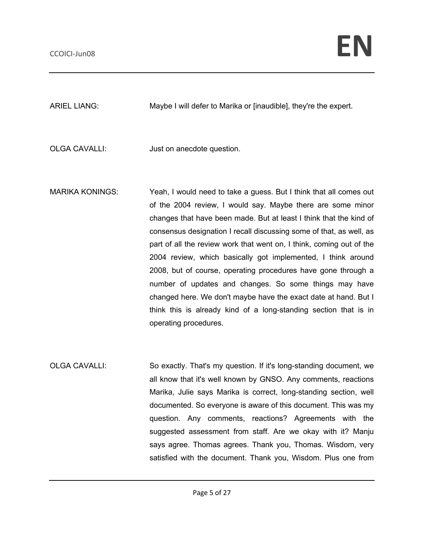ARIEL LIANG: Maybe I will defer to Marika or [inaudible], they're the expert.

OLGA CAVALLI: Just on anecdote question.

- MARIKA KONINGS: Yeah, I would need to take a guess. But I think that all comes out of the 2004 review, I would say. Maybe there are some minor changes that have been made. But at least I think that the kind of consensus designation I recall discussing some of that, as well, as part of all the review work that went on, I think, coming out of the 2004 review, which basically got implemented, I think around 2008, but of course, operating procedures have gone through a number of updates and changes. So some things may have changed here. We don't maybe have the exact date at hand. But I think this is already kind of a long-standing section that is in operating procedures.
- OLGA CAVALLI: So exactly. That's my question. If it's long-standing document, we all know that it's well known by GNSO. Any comments, reactions Marika, Julie says Marika is correct, long-standing section, well documented. So everyone is aware of this document. This was my question. Any comments, reactions? Agreements with the suggested assessment from staff. Are we okay with it? Manju says agree. Thomas agrees. Thank you, Thomas. Wisdom, very satisfied with the document. Thank you, Wisdom. Plus one from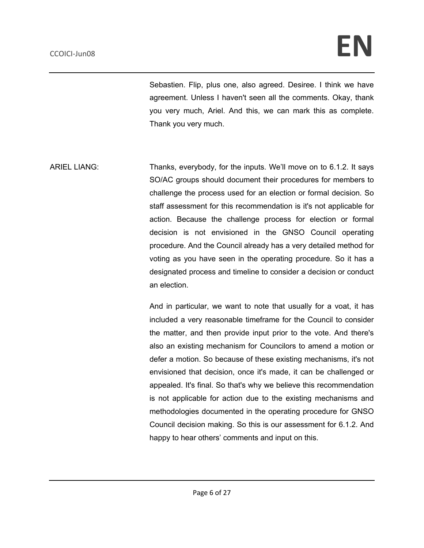Sebastien. Flip, plus one, also agreed. Desiree. I think we have agreement. Unless I haven't seen all the comments. Okay, thank you very much, Ariel. And this, we can mark this as complete. Thank you very much.

ARIEL LIANG: Thanks, everybody, for the inputs. We'll move on to 6.1.2. It says SO/AC groups should document their procedures for members to challenge the process used for an election or formal decision. So staff assessment for this recommendation is it's not applicable for action. Because the challenge process for election or formal decision is not envisioned in the GNSO Council operating procedure. And the Council already has a very detailed method for voting as you have seen in the operating procedure. So it has a designated process and timeline to consider a decision or conduct an election.

> And in particular, we want to note that usually for a voat, it has included a very reasonable timeframe for the Council to consider the matter, and then provide input prior to the vote. And there's also an existing mechanism for Councilors to amend a motion or defer a motion. So because of these existing mechanisms, it's not envisioned that decision, once it's made, it can be challenged or appealed. It's final. So that's why we believe this recommendation is not applicable for action due to the existing mechanisms and methodologies documented in the operating procedure for GNSO Council decision making. So this is our assessment for 6.1.2. And happy to hear others' comments and input on this.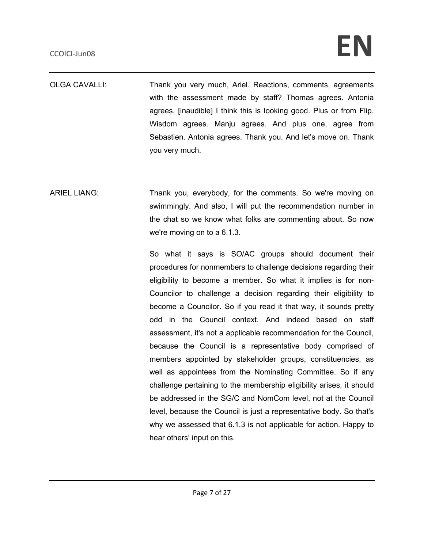OLGA CAVALLI: Thank you very much, Ariel. Reactions, comments, agreements with the assessment made by staff? Thomas agrees. Antonia agrees, [inaudible] I think this is looking good. Plus or from Flip. Wisdom agrees. Manju agrees. And plus one, agree from Sebastien. Antonia agrees. Thank you. And let's move on. Thank you very much.

ARIEL LIANG: Thank you, everybody, for the comments. So we're moving on swimmingly. And also, I will put the recommendation number in the chat so we know what folks are commenting about. So now we're moving on to a 6.1.3.

> So what it says is SO/AC groups should document their procedures for nonmembers to challenge decisions regarding their eligibility to become a member. So what it implies is for non-Councilor to challenge a decision regarding their eligibility to become a Councilor. So if you read it that way, it sounds pretty odd in the Council context. And indeed based on staff assessment, it's not a applicable recommendation for the Council, because the Council is a representative body comprised of members appointed by stakeholder groups, constituencies, as well as appointees from the Nominating Committee. So if any challenge pertaining to the membership eligibility arises, it should be addressed in the SG/C and NomCom level, not at the Council level, because the Council is just a representative body. So that's why we assessed that 6.1.3 is not applicable for action. Happy to hear others' input on this.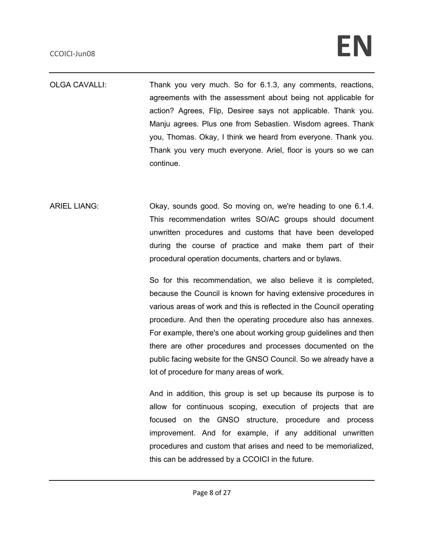OLGA CAVALLI: Thank you very much. So for 6.1.3, any comments, reactions, agreements with the assessment about being not applicable for action? Agrees, Flip, Desiree says not applicable. Thank you. Manju agrees. Plus one from Sebastien. Wisdom agrees. Thank you, Thomas. Okay, I think we heard from everyone. Thank you. Thank you very much everyone. Ariel, floor is yours so we can continue.

ARIEL LIANG: Chay, sounds good. So moving on, we're heading to one 6.1.4. This recommendation writes SO/AC groups should document unwritten procedures and customs that have been developed during the course of practice and make them part of their procedural operation documents, charters and or bylaws.

> So for this recommendation, we also believe it is completed, because the Council is known for having extensive procedures in various areas of work and this is reflected in the Council operating procedure. And then the operating procedure also has annexes. For example, there's one about working group guidelines and then there are other procedures and processes documented on the public facing website for the GNSO Council. So we already have a lot of procedure for many areas of work.

> And in addition, this group is set up because its purpose is to allow for continuous scoping, execution of projects that are focused on the GNSO structure, procedure and process improvement. And for example, if any additional unwritten procedures and custom that arises and need to be memorialized, this can be addressed by a CCOICI in the future.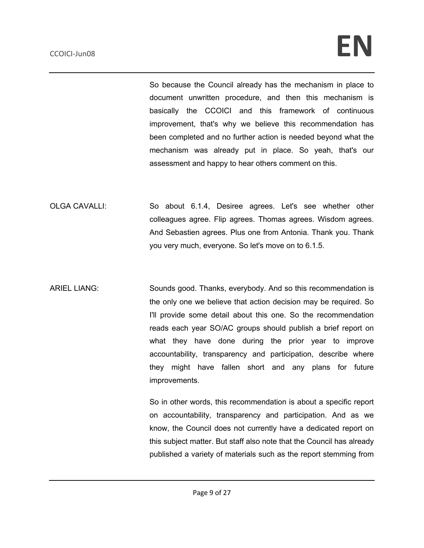So because the Council already has the mechanism in place to document unwritten procedure, and then this mechanism is basically the CCOICI and this framework of continuous improvement, that's why we believe this recommendation has been completed and no further action is needed beyond what the mechanism was already put in place. So yeah, that's our assessment and happy to hear others comment on this.

OLGA CAVALLI: So about 6.1.4, Desiree agrees. Let's see whether other colleagues agree. Flip agrees. Thomas agrees. Wisdom agrees. And Sebastien agrees. Plus one from Antonia. Thank you. Thank you very much, everyone. So let's move on to 6.1.5.

ARIEL LIANG: Sounds good. Thanks, everybody. And so this recommendation is the only one we believe that action decision may be required. So I'll provide some detail about this one. So the recommendation reads each year SO/AC groups should publish a brief report on what they have done during the prior year to improve accountability, transparency and participation, describe where they might have fallen short and any plans for future improvements.

> So in other words, this recommendation is about a specific report on accountability, transparency and participation. And as we know, the Council does not currently have a dedicated report on this subject matter. But staff also note that the Council has already published a variety of materials such as the report stemming from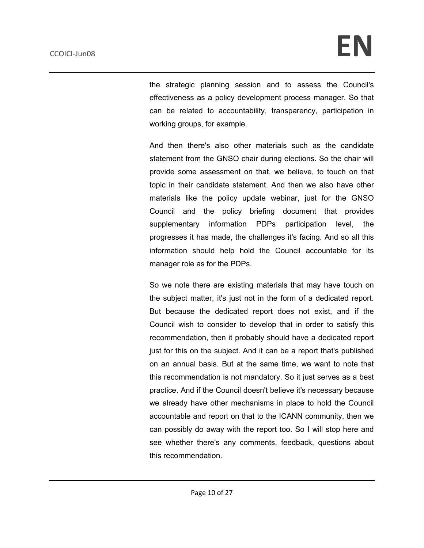the strategic planning session and to assess the Council's effectiveness as a policy development process manager. So that can be related to accountability, transparency, participation in working groups, for example.

And then there's also other materials such as the candidate statement from the GNSO chair during elections. So the chair will provide some assessment on that, we believe, to touch on that topic in their candidate statement. And then we also have other materials like the policy update webinar, just for the GNSO Council and the policy briefing document that provides supplementary information PDPs participation level, the progresses it has made, the challenges it's facing. And so all this information should help hold the Council accountable for its manager role as for the PDPs.

So we note there are existing materials that may have touch on the subject matter, it's just not in the form of a dedicated report. But because the dedicated report does not exist, and if the Council wish to consider to develop that in order to satisfy this recommendation, then it probably should have a dedicated report just for this on the subject. And it can be a report that's published on an annual basis. But at the same time, we want to note that this recommendation is not mandatory. So it just serves as a best practice. And if the Council doesn't believe it's necessary because we already have other mechanisms in place to hold the Council accountable and report on that to the ICANN community, then we can possibly do away with the report too. So I will stop here and see whether there's any comments, feedback, questions about this recommendation.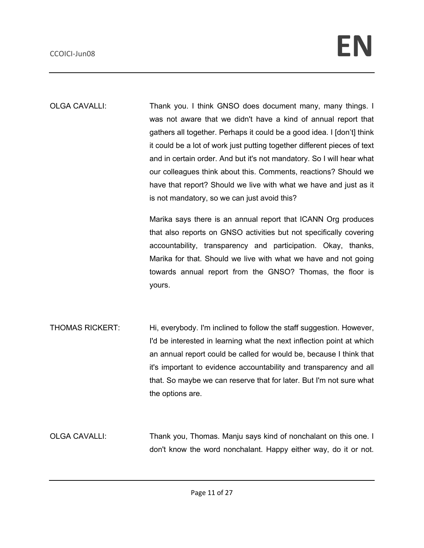OLGA CAVALLI: Thank you. I think GNSO does document many, many things. I was not aware that we didn't have a kind of annual report that gathers all together. Perhaps it could be a good idea. I [don't] think it could be a lot of work just putting together different pieces of text and in certain order. And but it's not mandatory. So I will hear what our colleagues think about this. Comments, reactions? Should we have that report? Should we live with what we have and just as it is not mandatory, so we can just avoid this?

> Marika says there is an annual report that ICANN Org produces that also reports on GNSO activities but not specifically covering accountability, transparency and participation. Okay, thanks, Marika for that. Should we live with what we have and not going towards annual report from the GNSO? Thomas, the floor is yours.

THOMAS RICKERT: Hi, everybody. I'm inclined to follow the staff suggestion. However, I'd be interested in learning what the next inflection point at which an annual report could be called for would be, because I think that it's important to evidence accountability and transparency and all that. So maybe we can reserve that for later. But I'm not sure what the options are.

OLGA CAVALLI: Thank you, Thomas. Manju says kind of nonchalant on this one. I don't know the word nonchalant. Happy either way, do it or not.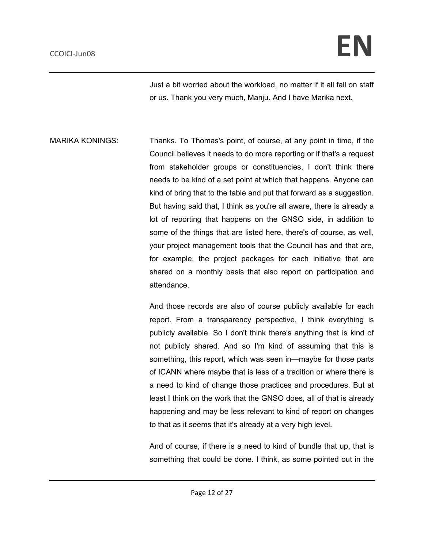Just a bit worried about the workload, no matter if it all fall on staff or us. Thank you very much, Manju. And I have Marika next.

MARIKA KONINGS: Thanks. To Thomas's point, of course, at any point in time, if the Council believes it needs to do more reporting or if that's a request from stakeholder groups or constituencies, I don't think there needs to be kind of a set point at which that happens. Anyone can kind of bring that to the table and put that forward as a suggestion. But having said that, I think as you're all aware, there is already a lot of reporting that happens on the GNSO side, in addition to some of the things that are listed here, there's of course, as well, your project management tools that the Council has and that are, for example, the project packages for each initiative that are shared on a monthly basis that also report on participation and attendance.

> And those records are also of course publicly available for each report. From a transparency perspective, I think everything is publicly available. So I don't think there's anything that is kind of not publicly shared. And so I'm kind of assuming that this is something, this report, which was seen in—maybe for those parts of ICANN where maybe that is less of a tradition or where there is a need to kind of change those practices and procedures. But at least I think on the work that the GNSO does, all of that is already happening and may be less relevant to kind of report on changes to that as it seems that it's already at a very high level.

> And of course, if there is a need to kind of bundle that up, that is something that could be done. I think, as some pointed out in the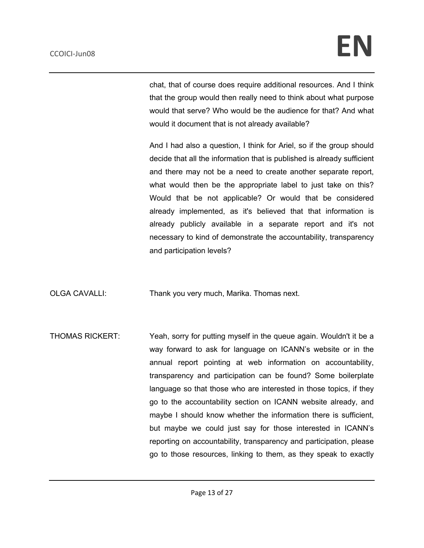chat, that of course does require additional resources. And I think that the group would then really need to think about what purpose would that serve? Who would be the audience for that? And what would it document that is not already available?

And I had also a question, I think for Ariel, so if the group should decide that all the information that is published is already sufficient and there may not be a need to create another separate report, what would then be the appropriate label to just take on this? Would that be not applicable? Or would that be considered already implemented, as it's believed that that information is already publicly available in a separate report and it's not necessary to kind of demonstrate the accountability, transparency and participation levels?

OLGA CAVALLI: Thank you very much, Marika. Thomas next.

THOMAS RICKERT: Yeah, sorry for putting myself in the queue again. Wouldn't it be a way forward to ask for language on ICANN's website or in the annual report pointing at web information on accountability, transparency and participation can be found? Some boilerplate language so that those who are interested in those topics, if they go to the accountability section on ICANN website already, and maybe I should know whether the information there is sufficient, but maybe we could just say for those interested in ICANN's reporting on accountability, transparency and participation, please go to those resources, linking to them, as they speak to exactly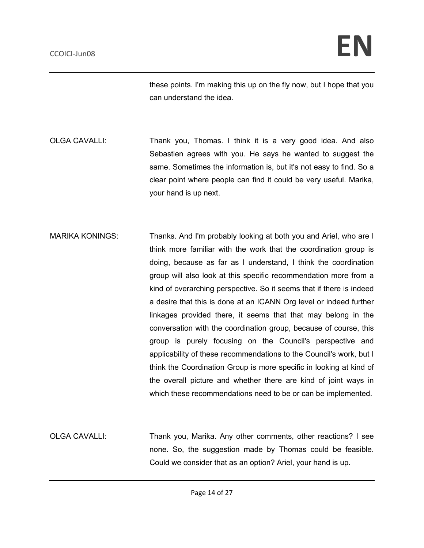these points. I'm making this up on the fly now, but I hope that you can understand the idea.

OLGA CAVALLI: Thank you, Thomas. I think it is a very good idea. And also Sebastien agrees with you. He says he wanted to suggest the same. Sometimes the information is, but it's not easy to find. So a clear point where people can find it could be very useful. Marika, your hand is up next.

- MARIKA KONINGS: Thanks. And I'm probably looking at both you and Ariel, who are I think more familiar with the work that the coordination group is doing, because as far as I understand, I think the coordination group will also look at this specific recommendation more from a kind of overarching perspective. So it seems that if there is indeed a desire that this is done at an ICANN Org level or indeed further linkages provided there, it seems that that may belong in the conversation with the coordination group, because of course, this group is purely focusing on the Council's perspective and applicability of these recommendations to the Council's work, but I think the Coordination Group is more specific in looking at kind of the overall picture and whether there are kind of joint ways in which these recommendations need to be or can be implemented.
- OLGA CAVALLI: Thank you, Marika. Any other comments, other reactions? I see none. So, the suggestion made by Thomas could be feasible. Could we consider that as an option? Ariel, your hand is up.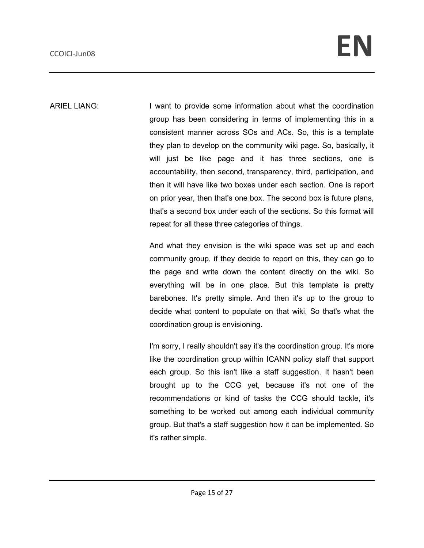ARIEL LIANG: I want to provide some information about what the coordination group has been considering in terms of implementing this in a consistent manner across SOs and ACs. So, this is a template they plan to develop on the community wiki page. So, basically, it will just be like page and it has three sections, one is accountability, then second, transparency, third, participation, and then it will have like two boxes under each section. One is report on prior year, then that's one box. The second box is future plans, that's a second box under each of the sections. So this format will repeat for all these three categories of things.

> And what they envision is the wiki space was set up and each community group, if they decide to report on this, they can go to the page and write down the content directly on the wiki. So everything will be in one place. But this template is pretty barebones. It's pretty simple. And then it's up to the group to decide what content to populate on that wiki. So that's what the coordination group is envisioning.

> I'm sorry, I really shouldn't say it's the coordination group. It's more like the coordination group within ICANN policy staff that support each group. So this isn't like a staff suggestion. It hasn't been brought up to the CCG yet, because it's not one of the recommendations or kind of tasks the CCG should tackle, it's something to be worked out among each individual community group. But that's a staff suggestion how it can be implemented. So it's rather simple.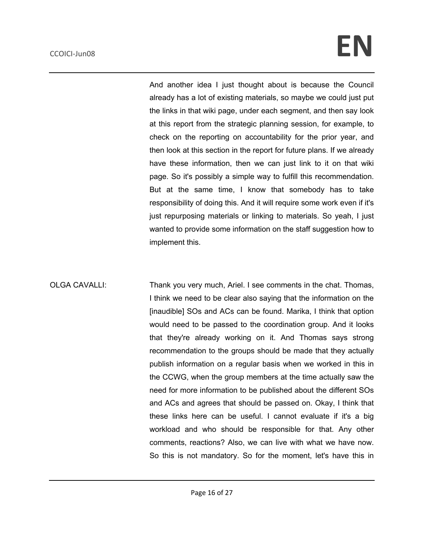And another idea I just thought about is because the Council already has a lot of existing materials, so maybe we could just put the links in that wiki page, under each segment, and then say look at this report from the strategic planning session, for example, to check on the reporting on accountability for the prior year, and then look at this section in the report for future plans. If we already have these information, then we can just link to it on that wiki page. So it's possibly a simple way to fulfill this recommendation. But at the same time, I know that somebody has to take responsibility of doing this. And it will require some work even if it's just repurposing materials or linking to materials. So yeah, I just wanted to provide some information on the staff suggestion how to implement this.

OLGA CAVALLI: Thank you very much, Ariel. I see comments in the chat. Thomas, I think we need to be clear also saying that the information on the [inaudible] SOs and ACs can be found. Marika, I think that option would need to be passed to the coordination group. And it looks that they're already working on it. And Thomas says strong recommendation to the groups should be made that they actually publish information on a regular basis when we worked in this in the CCWG, when the group members at the time actually saw the need for more information to be published about the different SOs and ACs and agrees that should be passed on. Okay, I think that these links here can be useful. I cannot evaluate if it's a big workload and who should be responsible for that. Any other comments, reactions? Also, we can live with what we have now. So this is not mandatory. So for the moment, let's have this in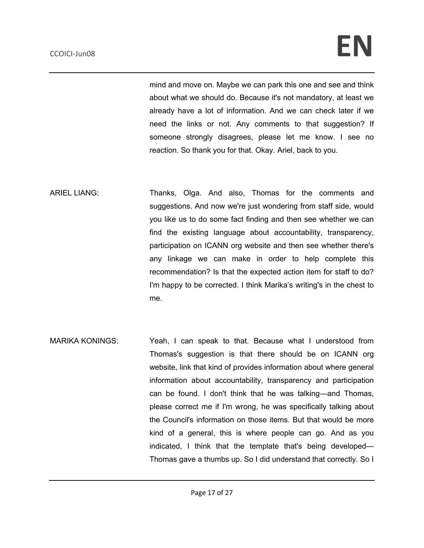mind and move on. Maybe we can park this one and see and think about what we should do. Because it's not mandatory, at least we already have a lot of information. And we can check later if we need the links or not. Any comments to that suggestion? If someone strongly disagrees, please let me know. I see no reaction. So thank you for that. Okay. Ariel, back to you.

- ARIEL LIANG: Thanks, Olga. And also, Thomas for the comments and suggestions. And now we're just wondering from staff side, would you like us to do some fact finding and then see whether we can find the existing language about accountability, transparency, participation on ICANN org website and then see whether there's any linkage we can make in order to help complete this recommendation? Is that the expected action item for staff to do? I'm happy to be corrected. I think Marika's writing's in the chest to me.
- MARIKA KONINGS: Yeah, I can speak to that. Because what I understood from Thomas's suggestion is that there should be on ICANN org website, link that kind of provides information about where general information about accountability, transparency and participation can be found. I don't think that he was talking—and Thomas, please correct me if I'm wrong, he was specifically talking about the Council's information on those items. But that would be more kind of a general, this is where people can go. And as you indicated, I think that the template that's being developed— Thomas gave a thumbs up. So I did understand that correctly. So I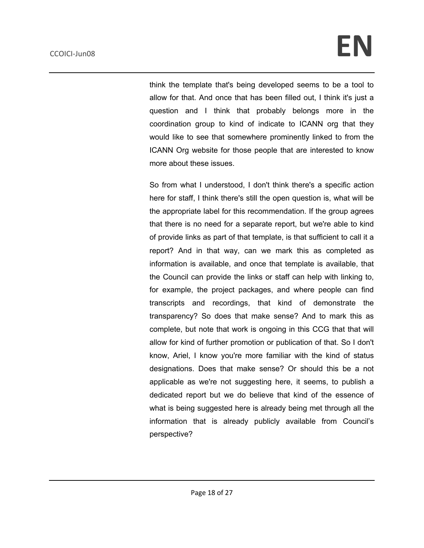think the template that's being developed seems to be a tool to allow for that. And once that has been filled out, I think it's just a question and I think that probably belongs more in the coordination group to kind of indicate to ICANN org that they would like to see that somewhere prominently linked to from the ICANN Org website for those people that are interested to know more about these issues.

So from what I understood, I don't think there's a specific action here for staff, I think there's still the open question is, what will be the appropriate label for this recommendation. If the group agrees that there is no need for a separate report, but we're able to kind of provide links as part of that template, is that sufficient to call it a report? And in that way, can we mark this as completed as information is available, and once that template is available, that the Council can provide the links or staff can help with linking to, for example, the project packages, and where people can find transcripts and recordings, that kind of demonstrate the transparency? So does that make sense? And to mark this as complete, but note that work is ongoing in this CCG that that will allow for kind of further promotion or publication of that. So I don't know, Ariel, I know you're more familiar with the kind of status designations. Does that make sense? Or should this be a not applicable as we're not suggesting here, it seems, to publish a dedicated report but we do believe that kind of the essence of what is being suggested here is already being met through all the information that is already publicly available from Council's perspective?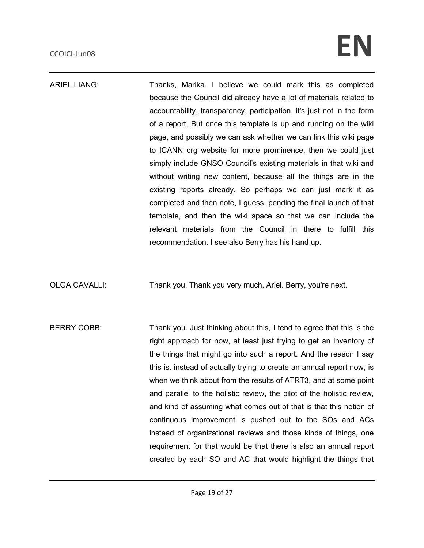ARIEL LIANG: Thanks, Marika. I believe we could mark this as completed because the Council did already have a lot of materials related to accountability, transparency, participation, it's just not in the form of a report. But once this template is up and running on the wiki page, and possibly we can ask whether we can link this wiki page to ICANN org website for more prominence, then we could just simply include GNSO Council's existing materials in that wiki and without writing new content, because all the things are in the existing reports already. So perhaps we can just mark it as completed and then note, I guess, pending the final launch of that template, and then the wiki space so that we can include the relevant materials from the Council in there to fulfill this recommendation. I see also Berry has his hand up.

OLGA CAVALLI: Thank you. Thank you very much, Ariel. Berry, you're next.

BERRY COBB: Thank you. Just thinking about this, I tend to agree that this is the right approach for now, at least just trying to get an inventory of the things that might go into such a report. And the reason I say this is, instead of actually trying to create an annual report now, is when we think about from the results of ATRT3, and at some point and parallel to the holistic review, the pilot of the holistic review, and kind of assuming what comes out of that is that this notion of continuous improvement is pushed out to the SOs and ACs instead of organizational reviews and those kinds of things, one requirement for that would be that there is also an annual report created by each SO and AC that would highlight the things that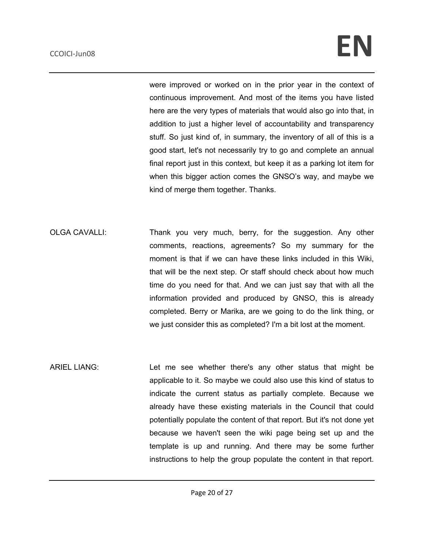were improved or worked on in the prior year in the context of continuous improvement. And most of the items you have listed here are the very types of materials that would also go into that, in addition to just a higher level of accountability and transparency stuff. So just kind of, in summary, the inventory of all of this is a good start, let's not necessarily try to go and complete an annual final report just in this context, but keep it as a parking lot item for when this bigger action comes the GNSO's way, and maybe we kind of merge them together. Thanks.

- OLGA CAVALLI: Thank you very much, berry, for the suggestion. Any other comments, reactions, agreements? So my summary for the moment is that if we can have these links included in this Wiki, that will be the next step. Or staff should check about how much time do you need for that. And we can just say that with all the information provided and produced by GNSO, this is already completed. Berry or Marika, are we going to do the link thing, or we just consider this as completed? I'm a bit lost at the moment.
- ARIEL LIANG: Let me see whether there's any other status that might be applicable to it. So maybe we could also use this kind of status to indicate the current status as partially complete. Because we already have these existing materials in the Council that could potentially populate the content of that report. But it's not done yet because we haven't seen the wiki page being set up and the template is up and running. And there may be some further instructions to help the group populate the content in that report.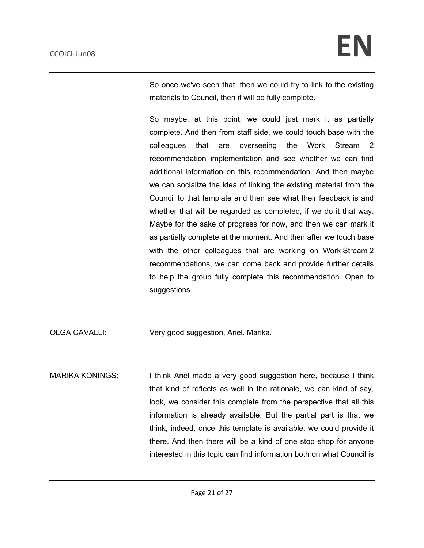So once we've seen that, then we could try to link to the existing materials to Council, then it will be fully complete.

So maybe, at this point, we could just mark it as partially complete. And then from staff side, we could touch base with the colleagues that are overseeing the Work Stream 2 recommendation implementation and see whether we can find additional information on this recommendation. And then maybe we can socialize the idea of linking the existing material from the Council to that template and then see what their feedback is and whether that will be regarded as completed, if we do it that way. Maybe for the sake of progress for now, and then we can mark it as partially complete at the moment. And then after we touch base with the other colleagues that are working on Work Stream 2 recommendations, we can come back and provide further details to help the group fully complete this recommendation. Open to suggestions.

OLGA CAVALLI: Very good suggestion, Ariel. Marika.

MARIKA KONINGS: I think Ariel made a very good suggestion here, because I think that kind of reflects as well in the rationale, we can kind of say, look, we consider this complete from the perspective that all this information is already available. But the partial part is that we think, indeed, once this template is available, we could provide it there. And then there will be a kind of one stop shop for anyone interested in this topic can find information both on what Council is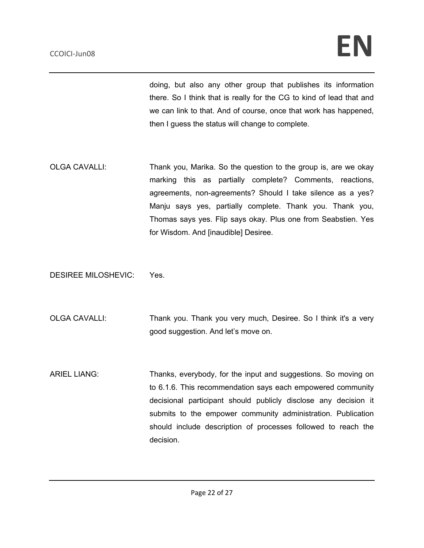doing, but also any other group that publishes its information there. So I think that is really for the CG to kind of lead that and we can link to that. And of course, once that work has happened, then I guess the status will change to complete.

OLGA CAVALLI: Thank you, Marika. So the question to the group is, are we okay marking this as partially complete? Comments, reactions, agreements, non-agreements? Should I take silence as a yes? Manju says yes, partially complete. Thank you. Thank you, Thomas says yes. Flip says okay. Plus one from Seabstien. Yes for Wisdom. And [inaudible] Desiree.

DESIREE MILOSHEVIC: Yes.

- OLGA CAVALLI: Thank you. Thank you very much, Desiree. So I think it's a very good suggestion. And let's move on.
- ARIEL LIANG: Thanks, everybody, for the input and suggestions. So moving on to 6.1.6. This recommendation says each empowered community decisional participant should publicly disclose any decision it submits to the empower community administration. Publication should include description of processes followed to reach the decision.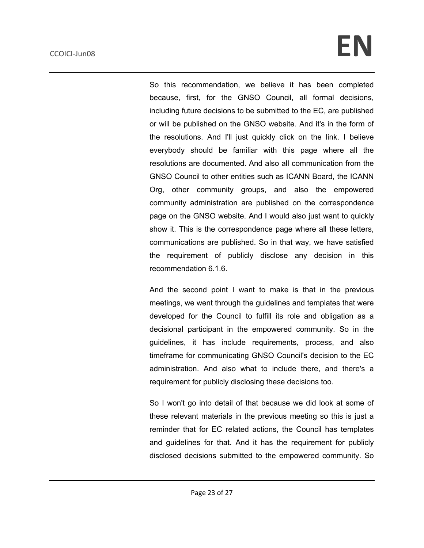## **CCOICI-Jun08 EN**

So this recommendation, we believe it has been completed because, first, for the GNSO Council, all formal decisions, including future decisions to be submitted to the EC, are published or will be published on the GNSO website. And it's in the form of the resolutions. And I'll just quickly click on the link. I believe everybody should be familiar with this page where all the resolutions are documented. And also all communication from the GNSO Council to other entities such as ICANN Board, the ICANN Org, other community groups, and also the empowered community administration are published on the correspondence page on the GNSO website. And I would also just want to quickly show it. This is the correspondence page where all these letters, communications are published. So in that way, we have satisfied the requirement of publicly disclose any decision in this recommendation 6.1.6.

And the second point I want to make is that in the previous meetings, we went through the guidelines and templates that were developed for the Council to fulfill its role and obligation as a decisional participant in the empowered community. So in the guidelines, it has include requirements, process, and also timeframe for communicating GNSO Council's decision to the EC administration. And also what to include there, and there's a requirement for publicly disclosing these decisions too.

So I won't go into detail of that because we did look at some of these relevant materials in the previous meeting so this is just a reminder that for EC related actions, the Council has templates and guidelines for that. And it has the requirement for publicly disclosed decisions submitted to the empowered community. So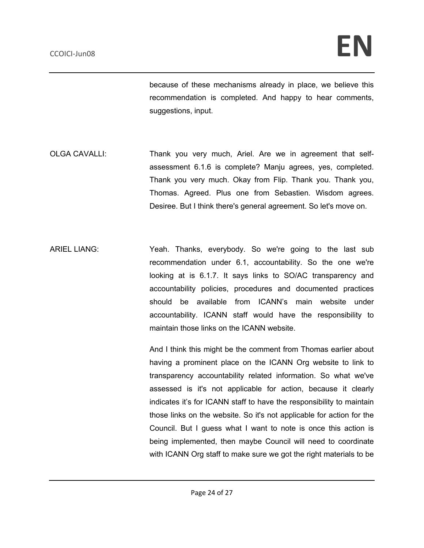because of these mechanisms already in place, we believe this recommendation is completed. And happy to hear comments, suggestions, input.

- OLGA CAVALLI: Thank you very much, Ariel. Are we in agreement that selfassessment 6.1.6 is complete? Manju agrees, yes, completed. Thank you very much. Okay from Flip. Thank you. Thank you, Thomas. Agreed. Plus one from Sebastien. Wisdom agrees. Desiree. But I think there's general agreement. So let's move on.
- ARIEL LIANG: Yeah. Thanks, everybody. So we're going to the last sub recommendation under 6.1, accountability. So the one we're looking at is 6.1.7. It says links to SO/AC transparency and accountability policies, procedures and documented practices should be available from ICANN's main website under accountability. ICANN staff would have the responsibility to maintain those links on the ICANN website.

And I think this might be the comment from Thomas earlier about having a prominent place on the ICANN Org website to link to transparency accountability related information. So what we've assessed is it's not applicable for action, because it clearly indicates it's for ICANN staff to have the responsibility to maintain those links on the website. So it's not applicable for action for the Council. But I guess what I want to note is once this action is being implemented, then maybe Council will need to coordinate with ICANN Org staff to make sure we got the right materials to be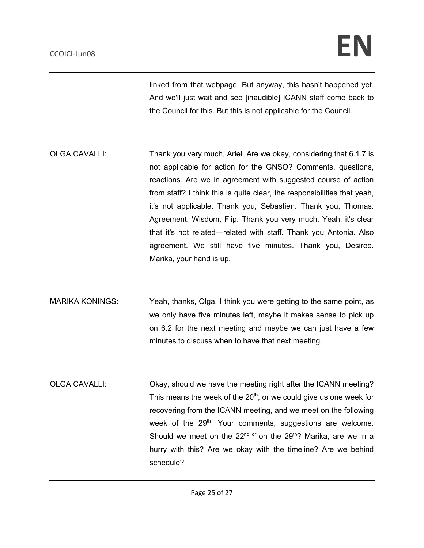linked from that webpage. But anyway, this hasn't happened yet. And we'll just wait and see [inaudible] ICANN staff come back to the Council for this. But this is not applicable for the Council.

- OLGA CAVALLI: Thank you very much, Ariel. Are we okay, considering that 6.1.7 is not applicable for action for the GNSO? Comments, questions, reactions. Are we in agreement with suggested course of action from staff? I think this is quite clear, the responsibilities that yeah, it's not applicable. Thank you, Sebastien. Thank you, Thomas. Agreement. Wisdom, Flip. Thank you very much. Yeah, it's clear that it's not related—related with staff. Thank you Antonia. Also agreement. We still have five minutes. Thank you, Desiree. Marika, your hand is up.
- MARIKA KONINGS: Yeah, thanks, Olga. I think you were getting to the same point, as we only have five minutes left, maybe it makes sense to pick up on 6.2 for the next meeting and maybe we can just have a few minutes to discuss when to have that next meeting.
- OLGA CAVALLI: Okay, should we have the meeting right after the ICANN meeting? This means the week of the  $20<sup>th</sup>$ , or we could give us one week for recovering from the ICANN meeting, and we meet on the following week of the  $29<sup>th</sup>$ . Your comments, suggestions are welcome. Should we meet on the  $22^{nd}$  or on the  $29^{th}$ ? Marika, are we in a hurry with this? Are we okay with the timeline? Are we behind schedule?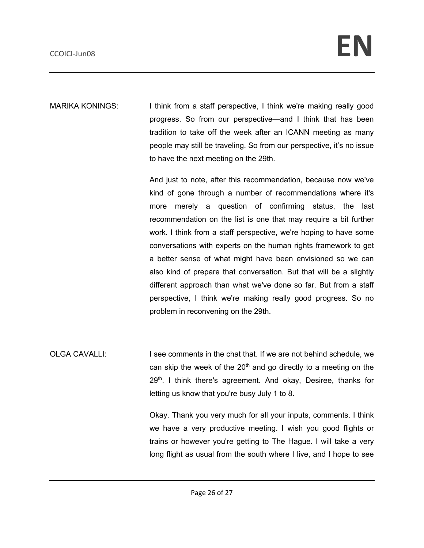MARIKA KONINGS: I think from a staff perspective, I think we're making really good progress. So from our perspective—and I think that has been tradition to take off the week after an ICANN meeting as many people may still be traveling. So from our perspective, it's no issue to have the next meeting on the 29th.

> And just to note, after this recommendation, because now we've kind of gone through a number of recommendations where it's more merely a question of confirming status, the last recommendation on the list is one that may require a bit further work. I think from a staff perspective, we're hoping to have some conversations with experts on the human rights framework to get a better sense of what might have been envisioned so we can also kind of prepare that conversation. But that will be a slightly different approach than what we've done so far. But from a staff perspective, I think we're making really good progress. So no problem in reconvening on the 29th.

OLGA CAVALLI: I see comments in the chat that. If we are not behind schedule, we can skip the week of the  $20<sup>th</sup>$  and go directly to a meeting on the  $29<sup>th</sup>$ . I think there's agreement. And okay, Desiree, thanks for letting us know that you're busy July 1 to 8.

> Okay. Thank you very much for all your inputs, comments. I think we have a very productive meeting. I wish you good flights or trains or however you're getting to The Hague. I will take a very long flight as usual from the south where I live, and I hope to see